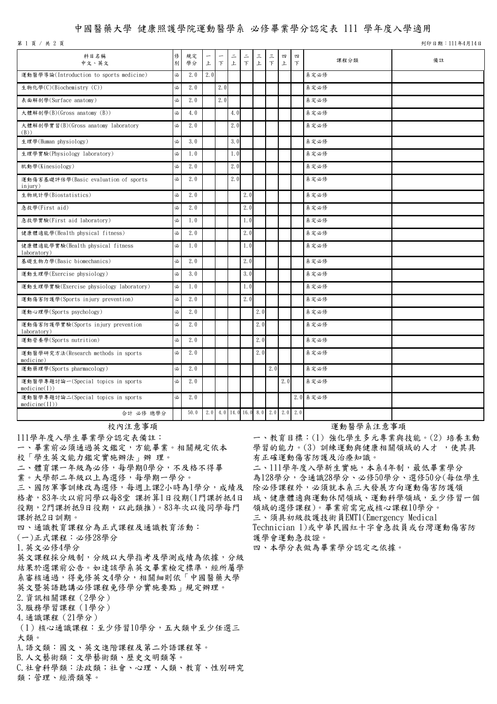## 中國醫藥大學 健康照護學院運動醫學系 必修畢業學分認定表 111 學年度入學適用

第 1 頁 / 共 2 頁

列印日期:111年4月14日

| 科目名稱<br>中文、英文                                       | 俢<br>別 | 規定<br>學分 | $\overline{\phantom{m}}$<br>上 | 下   | ⋍<br>上 | 드<br>$\top$ | 三<br>上 | $\equiv$<br>$\top$ | 四<br>上                        | 四<br>$\top$ | 課程分類     | 備註 |
|-----------------------------------------------------|--------|----------|-------------------------------|-----|--------|-------------|--------|--------------------|-------------------------------|-------------|----------|----|
| 運動醫學導論(Introduction to sports medicine)             | 必      | 2.0      | 2.0                           |     |        |             |        |                    |                               |             | 系定必修     |    |
| 生物化學(C)(Biochemistry (C))                           | 必      | 2.0      |                               | 2.0 |        |             |        |                    |                               |             | 系定必修     |    |
| 表面解剖學(Surface anatomy)                              | 必      | 2.0      |                               | 2.0 |        |             |        |                    |                               |             | 系定必修     |    |
| 大體解剖學(B)(Gross anatomy (B))                         | 必      | 4.0      |                               |     | 4.0    |             |        |                    |                               |             | 系定必修     |    |
| 大體解剖學實習(B)(Gross anatomy laboratory<br>(B))         | 必      | 2.0      |                               |     | 2.0    |             |        |                    |                               |             | 系定必修     |    |
| 生理學(Human physiology)                               | 必      | 3.0      |                               |     | 3.0    |             |        |                    |                               |             | 系定必修     |    |
| 生理學實驗(Physiology laboratory)                        | 必      | 1.0      |                               |     | 1.0    |             |        |                    |                               |             | 系定必修     |    |
| 肌動學(Kinesiology)                                    | 必      | 2.0      |                               |     | 2.0    |             |        |                    |                               |             | 系定必修     |    |
| 運動傷害基礎評估學(Basic evaluation of sports<br>injury)     | 必      | 2.0      |                               |     | 2.0    |             |        |                    |                               |             | 系定必修     |    |
| 生物統計學(Biostatistics)                                | 必      | 2.0      |                               |     |        | 2.0         |        |                    |                               |             | 系定必修     |    |
| 急救學(First aid)                                      | 必      | 2.0      |                               |     |        | 2.0         |        |                    |                               |             | 系定必修     |    |
| 急救學實驗(First aid laboratory)                         | 必      | 1.0      |                               |     |        | 1.0         |        |                    |                               |             | 系定必修     |    |
| 健康體適能學(Health physical fitness)                     | 必      | 2.0      |                               |     |        | 2.0         |        |                    |                               |             | 系定必修     |    |
| 健康體適能學實驗(Health physical fitness<br>laboratory)     | 必      | 1.0      |                               |     |        | 1.0         |        |                    |                               |             | 系定必修     |    |
| 基礎生物力學(Basic biomechanics)                          | 必      | 2.0      |                               |     |        | 2.0         |        |                    |                               |             | 系定必修     |    |
| 運動生理學(Exercise physiology)                          | 必      | 3.0      |                               |     |        | 3.0         |        |                    |                               |             | 系定必修     |    |
| 運動生理學實驗(Exercise physiology laboratory)             | 必      | 1.0      |                               |     |        | 1.0         |        |                    |                               |             | 系定必修     |    |
| 運動傷害防護學(Sports injury prevention)                   | 必      | 2.0      |                               |     |        | 2.0         |        |                    |                               |             | 系定必修     |    |
| 運動心理學(Sports psychology)                            | 必      | 2.0      |                               |     |        |             | 2.0    |                    |                               |             | 系定必修     |    |
| 運動傷害防護學實驗(Sports injury prevention<br>laboratory)   | 必      | 2.0      |                               |     |        |             | 2.0    |                    |                               |             | 系定必修     |    |
| 運動營養學(Sports nutrition)                             | 必      | 2.0      |                               |     |        |             | 2.0    |                    |                               |             | 系定必修     |    |
| 運動醫學研究方法(Research methods in sports<br>medicine)    | 必      | 2.0      |                               |     |        |             | 2.0    |                    |                               |             | 系定必修     |    |
| 運動藥理學(Sports pharmacology)                          | 必      | 2.0      |                               |     |        |             |        | 2.0                |                               |             | 系定必修     |    |
| 運動醫學專題討論一(Special topics in sports<br>medicine(I))  | 必      | 2.0      |                               |     |        |             |        |                    | 2.0                           |             | 系定必修     |    |
| 運動醫學專題討論ニ(Special topics in sports<br>medicine(II)) | 必      | 2.0      |                               |     |        |             |        |                    |                               |             | 2.0 系定必修 |    |
| 合計 必修 總學分                                           |        | $50.0$   |                               |     |        |             |        |                    | 2.0 4.0 14.0 16.0 8.0 2.0 2.0 | 2.0         |          |    |

111學年度入學生畢業學分認定表備註:

一、畢業前必須通過英文鑑定,方能畢業。相關規定依本

校「學生英文能力鑑定實施辦法」辦 理。

二、體育課一年級為必修,每學期0學分,不及格不得畢

業。大學部二年級以上為選修,每學期一學分。

三、國防軍事訓練改為選修,每週上課2小時為1學分,成績及 格者,83年次以前同學以每8堂 課折算1日役期(1門課折抵4日 役期, 2門課折抵9日役期, 以此類推)。83年次以後同學每門 課折抵2日訓期。

四、通識教育課程分為正式課程及通識教育活動:

(一)正式課程:必修28學分

1.英文必修4學分

英文課程採分級制,分級以大學指考及學測成績為依據,分級 結果於選課前公告。如達該學系英文畢業檢定標準,經所屬學 系審核通過,得免修英文4學分,相關細則依「中國醫藥大學 英文暨英語聽講必修課程免修學分實施要點」規定辦理。

2.資訊相關課程(2學分)

3.服務學習課程(1學分)

- 4.通識課程(21學分)
- (1)核心通識課程:至少修習10學分,五大類中至少任選三 大類。
- A.語文類:國文、英文進階課程及第二外語課程等。
- B.人文藝術類:文學藝術類、歷史文明類等。
- C.社會科學類:法政類;社會、心理、人類、教育、性別研究 類;管理、經濟類等。

#### 校內注意事項 おおもの こうしょう こうしょう こうこう 運動醫學系注意事項

一、教育目標:(1) 強化學生多元專業與技能。(2) 培養主動 學習的能力。(3) 訓練運動與健康相關領域的人才 , 使其具 有正確運動傷害防護及治療知識。

二、111學年度入學新生實施,本系4年制,最低畢業學分 為128學分,含通識28學分、必修50學分、選修50分(每位學生 除必修課程外,必須就本系三大發展方向運動傷害防護領 域、健康體適與運動休閒領域、運動科學領域,至少修習一個 領域的選修課程)。畢業前需完成核心課程10學分。 三、須具初級救護技術員EMT1(Emergency Medical Technician 1)或中華民國紅十字會急救員或台灣運動傷害防 護學會運動急救證。

四、本學分表做為畢業學分認定之依據。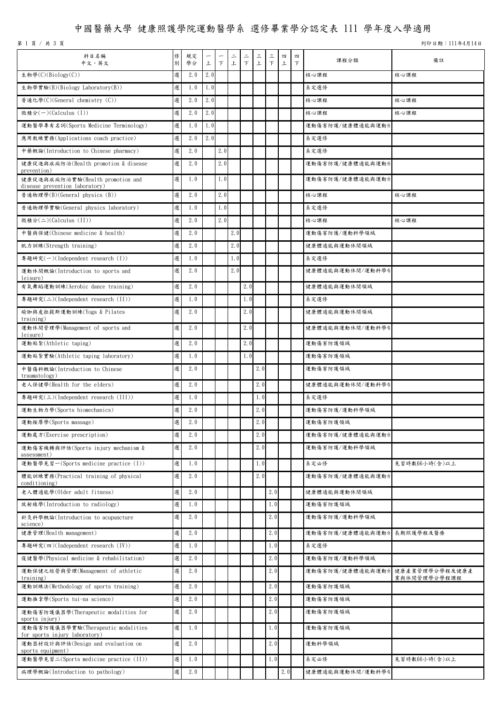# 中國醫藥大學 健康照護學院運動醫學系 選修畢業學分認定表 111 學年度入學適用

第 1 頁 / 共 3 頁

列印日期:111年4月14日

| 科目名稱<br>中文、英文                                                       | 俢<br>別 | 規定<br>學分 | 上   | $\mathcal{F}$ | $\equiv$<br>$\, \pm$ | $\equiv$<br>$\top$ | 三<br>上 | 三<br>$\top$ | 四<br>上 | 四<br>$\top$ | 課程分類             | 備註                             |
|---------------------------------------------------------------------|--------|----------|-----|---------------|----------------------|--------------------|--------|-------------|--------|-------------|------------------|--------------------------------|
| 生物學(C)(Biology(C))                                                  | 選      | 2.0      | 2.0 |               |                      |                    |        |             |        |             | 核心課程             | 核心課程                           |
| 生物學實驗(B)(Biology Laboratory(B))                                     | 選      | 1.0      | 1.0 |               |                      |                    |        |             |        |             | 系定選修             |                                |
| 普通化學(C)(General chemistry (C))                                      | 選      | 2.0      | 2.0 |               |                      |                    |        |             |        |             | 核心課程             | 核心課程                           |
| 微積分(一)(Calculus (I))                                                | 選      | 2.0      | 2.0 |               |                      |                    |        |             |        |             | 核心課程             | 核心課程                           |
| 運動醫學專有名詞(Sports Medicine Terminology)                               | 選      | 1.0      | 1.0 |               |                      |                    |        |             |        |             | 運動傷害防護/健康體適能與運動+ |                                |
| 應用教練實務(Applications coach practice)                                 | 選      | 2.0      | 2.0 |               |                      |                    |        |             |        |             | 系定選修             |                                |
| 中藥概論(Introduction to Chinese pharmacy)                              | 選      | 2.0      |     | 2.0           |                      |                    |        |             |        |             | 系定選修             |                                |
| 健康促進與疾病防治(Health promotion & disease<br>prevention)                 | 選      | 2.0      |     | 2.0           |                      |                    |        |             |        |             | 運動傷害防護/健康體適能與運動+ |                                |
| 健康促進與疾病防治實驗(Health promotion and<br>disease prevention laboratory)  | 選      | 1.0      |     | 1.0           |                      |                    |        |             |        |             | 運動傷害防護/健康體適能與運動+ |                                |
| 普通物理學(B)(General physics (B))                                       | 選      | 2.0      |     | 2.0           |                      |                    |        |             |        |             | 核心課程             | 核心課程                           |
| 普通物理學實驗(General physics laboratory)                                 | 選      | 1.0      |     | 1.0           |                      |                    |        |             |        |             | 系定選修             |                                |
| 微積分(二)(Calculus (II))                                               | 選      | 2.0      |     | 2.0           |                      |                    |        |             |        |             | 核心課程             | 核心課程                           |
| 中醫與保健(Chinese medicine & health)                                    | 選      | 2.0      |     |               | 2.0                  |                    |        |             |        |             | 運動傷害防護/運動科學領域    |                                |
| 肌力訓練(Strength training)                                             | 選      | 2.0      |     |               | 2.0                  |                    |        |             |        |             | 健康體適能與運動休閒領域     |                                |
| 專題研究(一)(Independent research (I))                                   | 選      | 1.0      |     |               | 1.0                  |                    |        |             |        |             | 系定選修             |                                |
| 運動休閒概論(Introduction to sports and<br>leisure)                       | 選      | 2.0      |     |               | 2.0                  |                    |        |             |        |             | 健康體適能與運動休閒/運動科學令 |                                |
| 有氧舞蹈運動訓練(Aerobic dance training)                                    | 選      | 2.0      |     |               |                      | 2.0                |        |             |        |             | 健康體適能與運動休閒領域     |                                |
| 專題研究(二)(Independent research (II))                                  | 選      | 1.0      |     |               |                      | 1.0                |        |             |        |             | 系定選修             |                                |
| 瑜珈與皮拉提斯運動訓練(Yoga & Pilates<br>training)                             | 選      | 2.0      |     |               |                      | 2.0                |        |             |        |             | 健康體適能與運動休閒領域     |                                |
| 運動休閒管理學(Management of sports and<br>leisure)                        | 選      | 2.0      |     |               |                      | 2.0                |        |             |        |             | 健康體適能與運動休閒/運動科學令 |                                |
| 運動貼紮(Athletic taping)                                               | 選      | 2.0      |     |               |                      | 2.0                |        |             |        |             | 運動傷害防護領域         |                                |
| 運動貼紮實驗(Athletic taping laboratory)                                  | 選      | 1.0      |     |               |                      | 1.0                |        |             |        |             | 運動傷害防護領域         |                                |
| 中醫傷科概論(Introduction to Chinese<br>traumatology)                     | 選      | 2.0      |     |               |                      |                    | 2.0    |             |        |             | 運動傷害防護領域         |                                |
| 老人保健學(Health for the elders)                                        | 選      | 2.0      |     |               |                      |                    | 2.0    |             |        |             | 健康體適能與運動休閒/運動科學令 |                                |
| 專題研究(三)(Independent research (III))                                 | 選      | 1.0      |     |               |                      |                    | 1.0    |             |        |             | 系定選修             |                                |
| 運動生物力學(Sports biomechanics)                                         | 選      | 2.0      |     |               |                      |                    | 2.0    |             |        |             | 運動傷害防護/運動科學領域    |                                |
| 運動按摩學(Sports massage)                                               | 選      | 2.0      |     |               |                      |                    | 2.0    |             |        |             | 運動傷害防護領域         |                                |
| 運動處方(Exercise prescription)                                         | 選      | 2.0      |     |               |                      |                    | 2.0    |             |        |             | 運動傷害防護/健康體適能與運動作 |                                |
| 運動傷害機轉與評估(Sports injury mechanism &<br>assessment)                  | 選      | 2.0      |     |               |                      |                    | 2.0    |             |        |             | 運動傷害防護/運動科學領域    |                                |
| 運動醫學見習一(Sports medicine practice (I))                               | 選      | 1.0      |     |               |                      |                    | 1.0    |             |        |             | 系定必修             | 見習時數66小時(含)以上                  |
| 體能訓練實務(Practical training of physical<br>conditioning)              | 選      | 2.0      |     |               |                      |                    | 2.0    |             |        |             | 運動傷害防護/健康體適能與運動+ |                                |
| 老人體適能學(Older adult fitness)                                         | 選      | 2.0      |     |               |                      |                    |        | 2.0         |        |             | 健康體適能與運動休閒領域     |                                |
| 放射線學(Introduction to radiology)                                     | 選      | 1.0      |     |               |                      |                    |        | 1.0         |        |             | 運動傷害防護領域         |                                |
| 針灸科學概論(Introduction to acupuncture<br>science)                      | 選      | 2.0      |     |               |                      |                    |        | 2.0         |        |             | 運動傷害防護/運動科學領域    |                                |
| 健康管理(Health management)                                             | 選      | 2.0      |     |               |                      |                    |        | 2.0         |        |             | 運動傷害防護/健康體適能與運動+ | 長期照護學程及醫療                      |
| 專題研究(四)(Independent research (IV))                                  | 選      | 1.0      |     |               |                      |                    |        | 1.0         |        |             | 系定選修             |                                |
| 復健醫學(Physical medicine & rehabilitation)                            | 選      | 2.0      |     |               |                      |                    |        | 2.0         |        |             | 運動傷害防護/運動科學領域    |                                |
| 運動保健之經營與管理(Management of athletic<br>training)                      | 選      | 2.0      |     |               |                      |                    |        | 2.0         |        |             | 運動傷害防護/健康體適能與運動作 | 健康產業管理學分學程及健康產<br>業與休閒管理學分學程課程 |
| 運動訓練法(Methodology of sports training)                               | 選      | 2.0      |     |               |                      |                    |        | 2.0         |        |             | 運動傷害防護領域         |                                |
| 運動推拿學(Sports tui-na science)                                        | 選      | 2.0      |     |               |                      |                    |        | 2.0         |        |             | 運動傷害防護領域         |                                |
| 運動傷害防護儀器學(Therapeutic modalities for<br>sports injury)              | 選      | 2.0      |     |               |                      |                    |        | 2.0         |        |             | 運動傷害防護領域         |                                |
| 運動傷害防護儀器學實驗(Therapeutic modalities<br>for sports injury laboratory) | 選      | 1.0      |     |               |                      |                    |        | 1.0         |        |             | 運動傷害防護領域         |                                |
| 運動器材設計與評估(Design and evaluation on<br>sports equipment)             | 選      | 2.0      |     |               |                      |                    |        | 2.0         |        |             | 運動科學領域           |                                |
| 運動醫學見習二(Sports medicine practice (II))                              | 選      | 1.0      |     |               |                      |                    |        | 1.0         |        |             | 系定必修             | 見習時數66小時(含)以上                  |
| 病理學概論(Introduction to pathology)                                    | 選      | 2.0      |     |               |                      |                    |        |             | 2.0    |             | 健康體適能與運動休閒/運動科學令 |                                |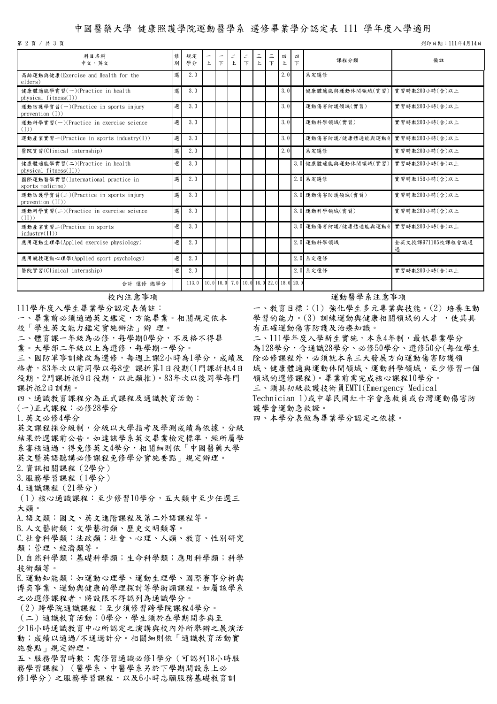### 中國醫藥大學 健康照護學院運動醫學系 選修畢業學分認定表 111 學年度入學適用

第 2 頁 / 共 3 頁

科目名稱 |科目名稱||<br>|中文、英文 ||<br>||アメリカ||アメリカ||アメリカ| 別 規定學分 <sup>一</sup>  $\mathbf{F}$ 一 下 二 上 二 下 三 上 三 下 四 上 四 下 課程分類 まんじょう おおし 備註 高齡運動與健康(Exercise and Health for the elders) 選 2.0 | | | | | | | | | | | | | 系定選修 健康體適能學實習(一)(Practice in health physical fitness(I)) 選 3.0 | | | | | 3.0 健康體適能與運動休閒領域(實習) 實習時數200小時(含)以上 運動防護學實習(一)(Practice in sports injury prevention (I)) 選 3.0 | | | | | | 3.0 運動傷害防護領域(實習) | 實習時數200小時(含)以上 運動科學實習(一)(Practice in exercise science (I)) 選 3.0 1 3.0 3.0 運動科學領域(實習) 實習時數200小時(含)以上 運動產業實習一(Practice in sports industry(I)) 選 3.0 3.0 運動傷害防護/健康體適能與運動休閒領域 實習時數200小時(含)以上 醫院實習(Clinical internship) 選 | 2.0 | | | | | | | | | | | | 名應 | 系定選修 | | | | | 實習時數200小時(含)以上 健康體適能學實習(二)(Practice in health physical fitness(II)) 選 3.0 | | | | | | 3.0 健康體適能與運動休閒領域(實習) 實習時數200小時(含)以上 國際運動醫學實習(International practice in sports medicine) 選 2.0 2.0 2.0 2.0 系定選修 する この 賞習時數156小時(含)以上 運動防護學實習(二)(Practice in sports injury prevention (II)) 選 3.0 3.0 3.0 運動傷害防護領域(實習) 實習時數200小時(含)以上 運動科學實習(二)(Practice in exercise science (II)) 選 3.0 | | | | | | | 3.0 運動科學領域(實習) | 實習時數200小時(含)以上 運動產業實習二(Practice in sports industry(II)) 選 3.0 ↓ ↓ ↓ ↓ ↓ 3.0 運動傷害防護/健康體適能與運動化 實習時數200小時(含)以上 應用運動生理學(Applied exercise physiology) 選 2.0 2.0 2.0 2.0 2.0 2.0 運動科學領域 全英文授課971105校課程會議通 過 運動科學領域 應用競技運動心理學(Applied sport psychology) 選 | 2.0 | | | | | | | | | | | 2.0 系定選修 醫院實習(Clinical internship) 選 2.0 2.0 系定選修 實習時數200小時(含)以上 合計 選修 總學分 | | 113.0 | 10.0 | 10.0 7.0 | 10.0 | 16.0 | 22.0 | 18.0 | 20.0

111學年度入學生畢業學分認定表備註:

一、畢業前必須通過英文鑑定,方能畢業。相關規定依本

校「學生英文能力鑑定實施辦法」辦 理。

二、體育課一年級為必修,每學期0學分,不及格不得畢

業。大學部二年級以上為選修,每學期一學分。

三、國防軍事訓練改為選修,每週上課2小時為1學分,成績及 格者,83年次以前同學以每8堂 課折算1日役期(1門課折抵4日 役期, 2門課折抵9日役期, 以此類推)。83年次以後同學每門 課折抵2日訓期。

四、通識教育課程分為正式課程及通識教育活動:

(一)正式課程:必修28學分

1.英文必修4學分

英文課程採分級制,分級以大學指考及學測成績為依據,分級 結果於選課前公告。如達該學系英文畢業檢定標準,經所屬學 系審核通過,得免修英文4學分,相關細則依「中國醫藥大學 英文暨英語聽講必修課程免修學分實施要點」規定辦理。

2.資訊相關課程(2學分)

3.服務學習課程(1學分)

4.通識課程(21學分)

(1)核心通識課程:至少修習10學分,五大類中至少任選三 大類。

A.語文類:國文、英文進階課程及第二外語課程等。

B.人文藝術類:文學藝術類、歷史文明類等。

C.社會科學類:法政類;社會、心理、人類、教育、性別研究 類;管理、經濟類等。

D.自然科學類:基礎科學類;生命科學類;應用科學類;科學 技術類等。

E.運動知能類:如運動心理學、運動生理學、國際賽事分析與 博奕事業、運動與健康的學理探討等學術類課程。如屬該學系 之必選修課程者,將設限不得認列為通識學分。

(2)跨學院通識課程:至少須修習跨學院課程4學分。 (二)通識教育活動:0學分,學生須於在學期間參與至 少16小時通識教育中心所認定之演講與校內外所舉辦之展演活 動;成績以通過/不通過計分。相關細則依「通識教育活動實 施要點」規定辦理。

五、服務學習時數:需修習通識必修1學分(可認列18小時服 務學習課程)(醫學系、中醫學系另於下學期開設系上必 修1學分)之服務學習課程,以及6小時志願服務基礎教育訓

### 校內注意事項 おおもの こうきょう こうしょう こうこう 運動醫學系注意事項

列印日期:111年4月14日

一、教育目標:(1) 強化學生多元專業與技能。(2) 培養主動 學習的能力。(3) 訓練運動與健康相關領域的人才 , 使其具 有正確運動傷害防護及治療知識。

二、111學年度入學新生實施,本系4年制,最低畢業學分 為128學分,含通識28學分、必修50學分、選修50分(每位學生 除必修課程外,必須就本系三大發展方向運動傷害防護領 域、健康體適與運動休閒領域、運動科學領域,至少修習一個 領域的選修課程)。畢業前需完成核心課程10學分。 三、須具初級救護技術員EMT1(Emergency Medical

Technician 1)或中華民國紅十字會急救員或台灣運動傷害防 護學會運動急救證。

四、本學分表做為畢業學分認定之依據。